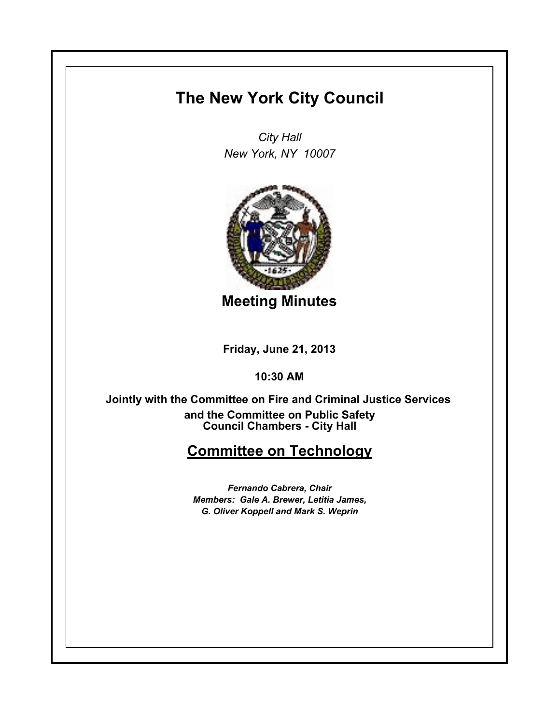## **The New York City Council**

*City Hall New York, NY 10007*



**Meeting Minutes**

**Friday, June 21, 2013**

**10:30 AM**

**Council Chambers - City Hall Jointly with the Committee on Fire and Criminal Justice Services and the Committee on Public Safety**

## **Committee on Technology**

*Fernando Cabrera, Chair Members: Gale A. Brewer, Letitia James, G. Oliver Koppell and Mark S. Weprin*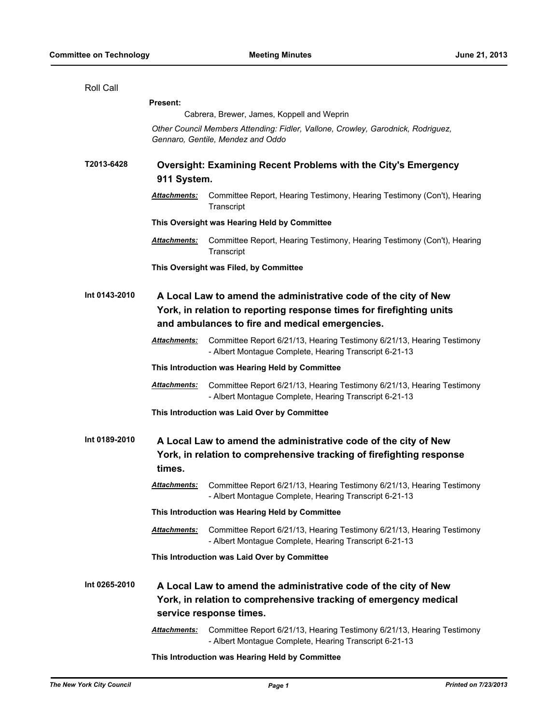| Roll Call     |                                                                                                                                                                |                                                                                                                                                                                            |  |
|---------------|----------------------------------------------------------------------------------------------------------------------------------------------------------------|--------------------------------------------------------------------------------------------------------------------------------------------------------------------------------------------|--|
|               | <b>Present:</b>                                                                                                                                                |                                                                                                                                                                                            |  |
|               | Cabrera, Brewer, James, Koppell and Weprin                                                                                                                     |                                                                                                                                                                                            |  |
|               | Other Council Members Attending: Fidler, Vallone, Crowley, Garodnick, Rodriguez,<br>Gennaro, Gentile, Mendez and Oddo                                          |                                                                                                                                                                                            |  |
| T2013-6428    | 911 System.                                                                                                                                                    | <b>Oversight: Examining Recent Problems with the City's Emergency</b>                                                                                                                      |  |
|               | <u>Attachments:</u>                                                                                                                                            | Committee Report, Hearing Testimony, Hearing Testimony (Con't), Hearing<br>Transcript                                                                                                      |  |
|               |                                                                                                                                                                | This Oversight was Hearing Held by Committee                                                                                                                                               |  |
|               | <u> Attachments:</u>                                                                                                                                           | Committee Report, Hearing Testimony, Hearing Testimony (Con't), Hearing<br>Transcript                                                                                                      |  |
|               | This Oversight was Filed, by Committee                                                                                                                         |                                                                                                                                                                                            |  |
| Int 0143-2010 |                                                                                                                                                                | A Local Law to amend the administrative code of the city of New<br>York, in relation to reporting response times for firefighting units<br>and ambulances to fire and medical emergencies. |  |
|               | Attachments:                                                                                                                                                   | Committee Report 6/21/13, Hearing Testimony 6/21/13, Hearing Testimony<br>- Albert Montague Complete, Hearing Transcript 6-21-13                                                           |  |
|               | This Introduction was Hearing Held by Committee                                                                                                                |                                                                                                                                                                                            |  |
|               | Attachments:                                                                                                                                                   | Committee Report 6/21/13, Hearing Testimony 6/21/13, Hearing Testimony<br>- Albert Montague Complete, Hearing Transcript 6-21-13                                                           |  |
|               |                                                                                                                                                                | This Introduction was Laid Over by Committee                                                                                                                                               |  |
| Int 0189-2010 | A Local Law to amend the administrative code of the city of New<br>York, in relation to comprehensive tracking of firefighting response<br>times.              |                                                                                                                                                                                            |  |
|               | <u> Attachments:</u>                                                                                                                                           | Committee Report 6/21/13, Hearing Testimony 6/21/13, Hearing Testimony<br>- Albert Montague Complete, Hearing Transcript 6-21-13                                                           |  |
|               |                                                                                                                                                                | This Introduction was Hearing Held by Committee                                                                                                                                            |  |
|               | <u> Attachments:</u>                                                                                                                                           | Committee Report 6/21/13, Hearing Testimony 6/21/13, Hearing Testimony<br>- Albert Montague Complete, Hearing Transcript 6-21-13                                                           |  |
|               | This Introduction was Laid Over by Committee                                                                                                                   |                                                                                                                                                                                            |  |
| Int 0265-2010 | A Local Law to amend the administrative code of the city of New<br>York, in relation to comprehensive tracking of emergency medical<br>service response times. |                                                                                                                                                                                            |  |
|               | Attachments:                                                                                                                                                   | Committee Report 6/21/13, Hearing Testimony 6/21/13, Hearing Testimony<br>- Albert Montague Complete, Hearing Transcript 6-21-13                                                           |  |
|               | This Introduction was Hearing Held by Committee                                                                                                                |                                                                                                                                                                                            |  |